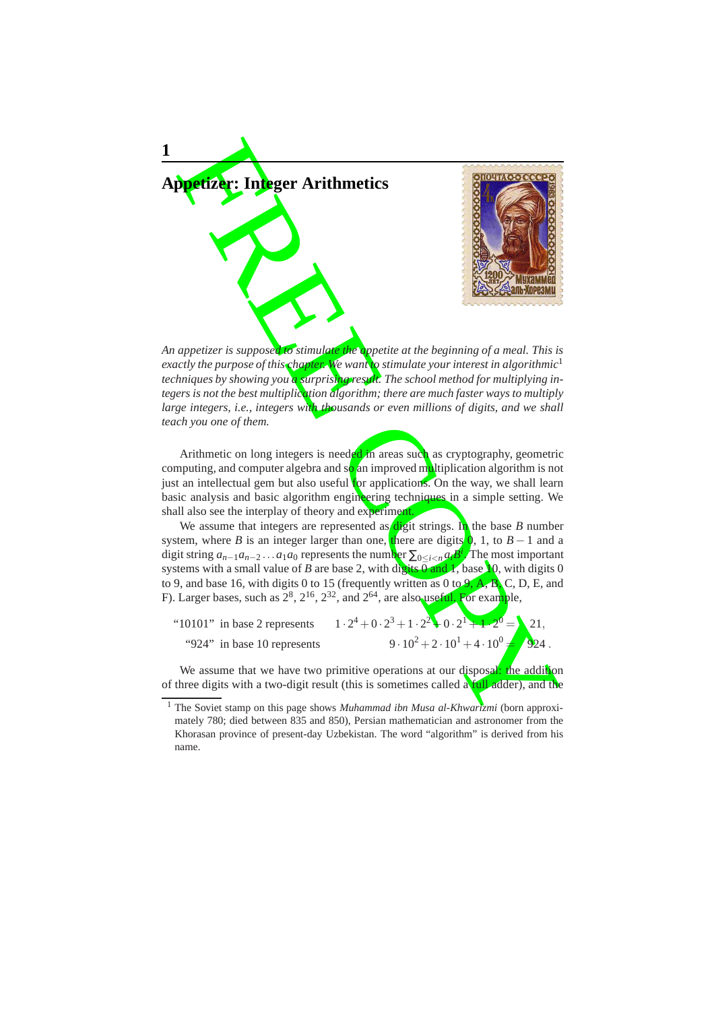

*An appetizer is supposed to stimulate the appetite at the beginning of a meal. This is exactly the purpose of this chapter. We want to stimulate your interest in algorithmic* 1 *techniques by showing you a surprising result. The school method for multiplying integers is not the best multiplication algorithm; there are much faster ways to multiply large integers, i.e., integers with thousands or even millions of digits, and we shall teach you one of them.*

Arithmetic on long integers is needed in areas such as cryptography, geometric computing, and computer algebra and so an improved multiplication algorithm is not just an intellectual gem but also useful for applications. On the way, we shall learn basic analysis and basic algorithm engineering techniques in a simple setting. We shall also see the interplay of theory and experiment.

We assume that integers are represented as digit strings. In the base *B* number system, where *B* is an integer larger than one, there are digits  $\bf{0}$ , 1, to *B* − 1 and a digit string  $a_{n-1}a_{n-2}...a_1a_0$  represents the number  $\sum_{0 \le i \le n} a_i'$  The most important systems with a small value of *B* are base 2, with digits 0 and *I*, base 10, with digits 0 to 9, and base 16, with digits 0 to 15 (frequently written as 0 to  $9, A, B, C, D, E$ , and F). Larger bases, such as  $2^8$ ,  $2^{16}$ ,  $2^{32}$ , and  $2^{64}$ , are also useful. For example,

"10101" in base 2 represents  $\cdot 2^4 + 0 \cdot 2^3 + 1 \cdot 2^2 + 0 \cdot 2^1 + 1 \cdot 2^0 = 21,$ "924" in base 10 represents  $\cdot 10^2 + 2 \cdot 10^1 + 4 \cdot 10^0$  $= 924$ 

We assume that we have two primitive operations at our disposal: the addition of three digits with a two-digit result (this is sometimes called a full adder), and the

.

<sup>&</sup>lt;sup>1</sup> The Soviet stamp on this page shows *Muhammad ibn Musa al-Khwartzmi* (born approximately 780; died between 835 and 850), Persian mathematician and astronomer from the Khorasan province of present-day Uzbekistan. The word "algorithm" is derived from his name.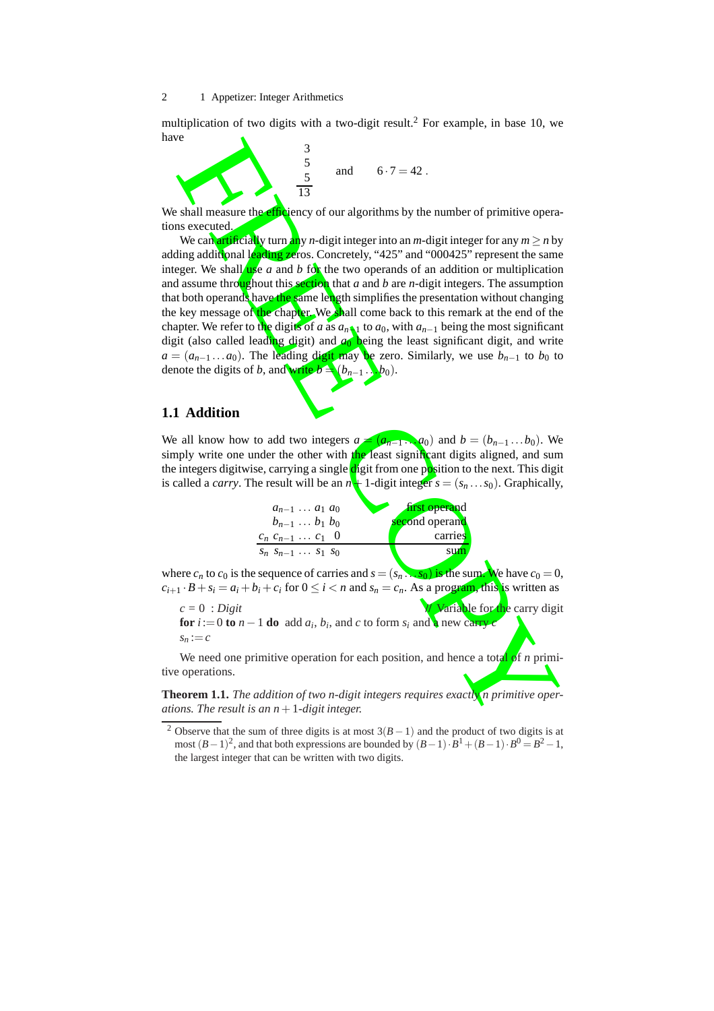multiplication of two digits with a two-digit result. <sup>2</sup> For example, in base 10, we have

$$
\frac{3}{5} \text{ and } 6.7 = 42.
$$

We shall measure the *efficiency* of our algorithms by the number of primitive operations executed.

For signal measure the chief of experimental particle is shall measure the chief of experimental particle in the control of the number of primitive operation of the cand print in the cand by  $n \sinh \theta$  and  $\theta$  and  $\theta$  and We can artificially turn any *n*-digit integer into an *m*-digit integer for any *m* ≥ *n* by adding additional leading zeros. Concretely, "425" and "000425" represent the same integer. We shall use *a* and *b* for the two operands of an addition or multiplication and assume throughout this section that *a* and *b* are *n*-digit integers. The assumption that both operands have the same length simplifies the presentation without changing the key message of the chapter. We shall come back to this remark at the end of the chapter. We refer to the digits of *a* as  $a_n \downarrow$  to  $a_0$ , with  $a_{n-1}$  being the most significant digit (also called leading digit) and *a* <sup>0</sup> being the least significant digit, and write  $a = (a_{n-1} \dots a_0)$ . The leading digit may be zero. Similarly, we use  $b_{n-1}$  to  $b_0$  to denote the digits of *b*, and write  $b = (b_{n-1} \dots b_0)$ .

#### **1.1 Addition**

We all know how to add two integers  $a = (a_{n-1} \dots a_0)$  and  $b = (b_{n-1} \dots b_0)$ . We simply write one under the other with the least significant digits aligned, and sum the integers digitwise, carrying a single digit from one position to the next. This digit is called a *carry*. The result will be an  $n+1$ -digit integer  $s = (s_n \dots s_0)$ . Graphically,

| $a_{n-1} \ldots a_1 a_0$     | first operand  |
|------------------------------|----------------|
| $b_{n-1} \ldots b_1 b_0$     | second operand |
| $c_n c_{n-1} \ldots c_1 0$   | carries        |
| $S_n S_{n-1} \ldots S_1 S_0$ | sum            |

where  $c_n$  to  $c_0$  is the sequence of carries and  $s = (s_n \dots s_0)$  is the sum. We have  $c_0 = 0$ ,  $c_{i+1} \cdot B + s_i = a_i + b_i + c_i$  for  $0 \le i < n$  and  $s_n = c_n$ . As a program, this is written as

 $c = 0$ : *Digit <i>c* = 0 : *Digit* **for**  $i := 0$  **to**  $n - 1$  **do** add  $a_i, b_i$ , and c to form  $s_i$  and a new carry *c*  $s_n := c$ 

We need one primitive operation for each position, and hence a total of *n* primitive operations.

**Theorem 1.1.** *The addition of two n-digit integers requires exactly n primitive operations. The result is an n*+1*-digit integer.*

<sup>&</sup>lt;sup>2</sup> Observe that the sum of three digits is at most  $3(B-1)$  and the product of two digits is at most  $(B-1)^2$ , and that both expressions are bounded by  $(B-1) \cdot B^1 + (B-1) \cdot B^0 = B^2 - 1$ , the largest integer that can be written with two digits.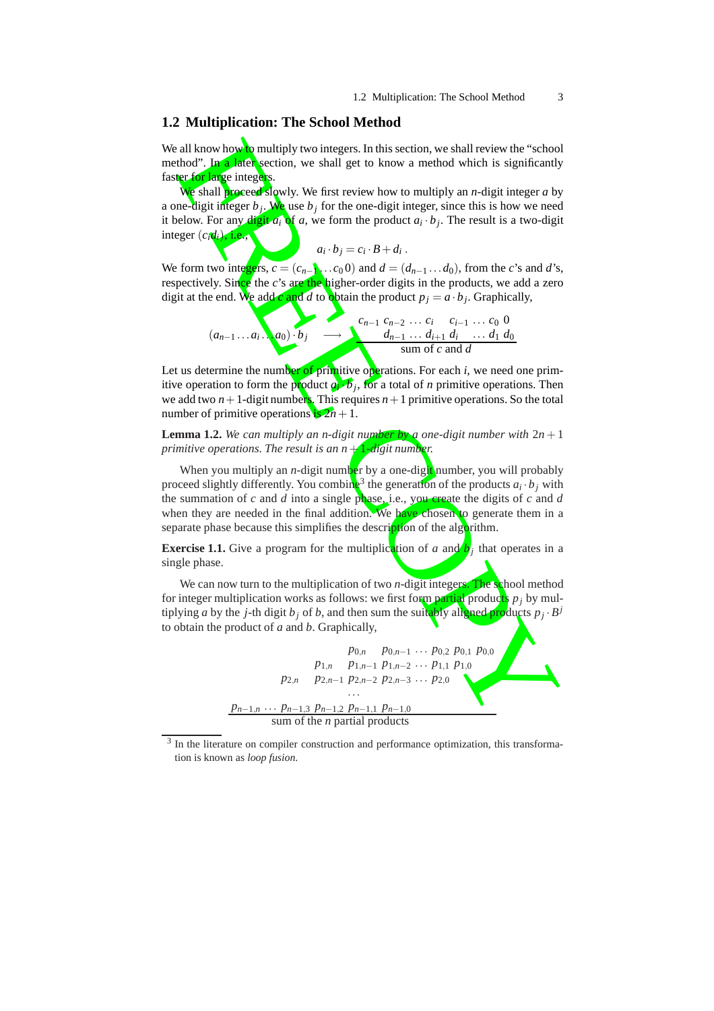#### **1.2 Multiplication: The School Method**

We all know how to multiply two integers. In this section, we shall review the "school" method". In a later section, we shall get to know a method which is significantly faster for large integers.

We shall proceed slowly. We first review how to multiply an *n*-digit integer *a* by a one-digit integer  $b_j$ . We use  $b_j$  for the one-digit integer, since this is how we need it below. For any digit  $a_i$  of  $a$ , we form the product  $a_i \cdot b_j$ . The result is a two-digit integer  $(c_i d_i)$ , i.e.,

$$
a_i \cdot b_j = c_i \cdot B + d_i \ .
$$

We form two integers,  $c = (c_{n-1} \ldots c_0 \cdot 0)$  and  $d = (d_{n-1} \ldots d_0)$ , from the *c*'s and *d*'s, respectively. Since the *c*'s are the higher-order digits in the products, we add a zero digit at the end. We add *c* and *d* to obtain the product  $p_j = a \cdot b_j$ . Graphically,

$$
(a_{n-1}...a_i...a_0) \cdot b_j \longrightarrow \begin{array}{c} c_{n-1} & c_{n-2} & \dots & c_i & c_{i-1} & \dots & c_0 & 0 \\ \hline & d_{n-1} & \dots & d_{i+1} & d_i & \dots & d_1 & d_0 \\ \hline \text{sum of } c \text{ and } d \end{array}
$$

Let us determine the number of primitive operations. For each *i*, we need one primitive operation to form the product  $a_i$  *b<sub>j</sub>*, for a total of *n* primitive operations. Then we add two  $n+1$ -digit numbers. This requires  $n+1$  primitive operations. So the total number of primitive operations  $\frac{1}{18} 2n + 1$ .

**Lemma 1.2.** We can multiply an n-digit number by a one-digit number with  $2n + 1$ *primitive operations. The result is an n* + 1*-digit number.*

When you multiply an *n*-digit number by a one-digit number, you will probably proceed slightly differently. You combine<sup>3</sup> the generation of the products  $a_i \cdot b_j$  with the summation of *c* and *d* into a single phase, i.e., you create the digits of *c* and *d* when they are needed in the final addition. We have chosen to generate them in a separate phase because this simplifies the description of the algorithm.

**Exercise 1.1.** Give a program for the multiplication of a and  $b_j$  that operates in a single phase.

We can now turn to the multiplication of two *n*-digit integers. The school method for integer multiplication works as follows: we first form partial products *p <sup>j</sup>* by multiplying *a* by the *j*-th digit *b*<sub>*j*</sub> of *b*, and then sum the suitably aligned products  $p_i \cdot B^j$ to obtain the product of *a* and *b*. Graphically,



<sup>&</sup>lt;sup>3</sup> In the literature on compiler construction and performance optimization, this transformation is known as *loop fusion*.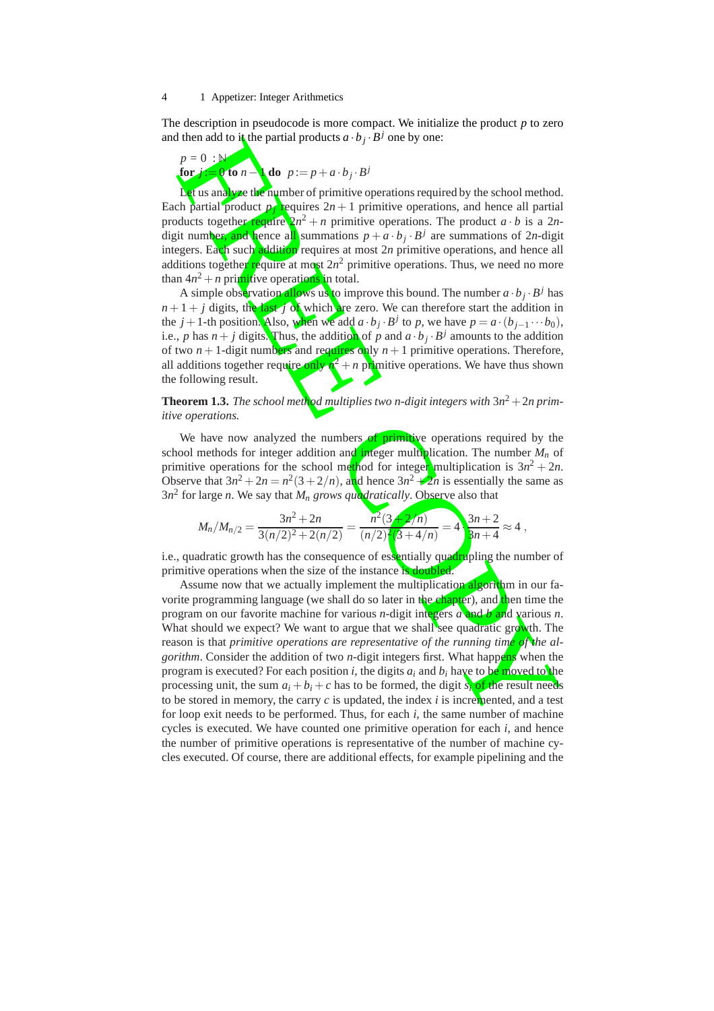The description in pseudocode is more compact. We initialize the product *p* to zero and then add to it the partial products  $a \cdot b_j \cdot B^j$  one by one:

$$
p = 0 : \mathbb{N}
$$
  
for j := 0 to n - do  $p := p + a \cdot b_j \cdot B^j$ 

Let us analyze the number of primitive operations required by the school method. Each partial product  $p_j$  requires  $2n+1$  primitive operations, and hence all partial products together require  $2n^2 + n$  primitive operations. The product  $a \cdot b$  is a 2ndigit number, and hence all summations  $p + a \cdot b_j \cdot B^j$  are summations of 2*n*-digit integers. Each such addition requires at most 2 *n* primitive operations, and hence all additions together require at most 2n<sup>2</sup> primitive operations. Thus, we need no more than  $4n^2 + n$  primitive operations in total.

A simple observation allows us to improve this bound. The number  $a \cdot b_j \cdot B^j$  has  $n+1+j$  digits, the last *j* of which are zero. We can therefore start the addition in the *j* + 1-th position. Also, when we add  $a \cdot b_j \cdot B^j$  to *p*, we have  $p = a \cdot (b_{j-1} \cdots b_0)$ , i.e., p has  $n + j$  digits. Thus, the addition of p and  $a \cdot b_j \cdot B^j$  amounts to the addition of two  $n+1$ -digit numbers and requires only  $n+1$  primitive operations. Therefore, all additions together require only  $n^2 + n$  primitive operations. We have thus shown the following result.

#### **Theorem 1.3.** *The school method multiplies two n-digit integers with* 3 *n* 2 + 2*n primitive operations.*

We have now analyzed the numbers of primitive operations required by the school methods for integer addition and integer multiplication. The number *M<sup>n</sup>* of primitive operations for the school method for integer multiplication is  $3n^2 + 2n$ . Observe that  $3n^2 + 2n = n^2(3 + 2/n)$ , and hence  $3n^2 + 2n$  is essentially the same as 3 *n* 2 for large *n*. We say that *M<sup>n</sup> grows quadratically*. Observe also that

$$
M_n/M_{n/2} = \frac{3n^2 + 2n}{3(n/2)^2 + 2(n/2)} = \frac{n^2(3+2/n)}{(n/2)^2(3+4/n)} = 4 \cdot \frac{3n+2}{3n+4} \approx 4,
$$

i.e., quadratic growth has the consequence of essentially quadrupling the number of primitive operations when the size of the instance is doubled.

d than and to the partial products  $a \cdot b_j \cdot b'$  one by one:<br>  $P = 0$ <br>
Lor  $\sqrt{160}$  and  $p = p + a \cdot b_j \cdot B^j$ <br>
Lor  $\sqrt{160}$  and  $p = p + a \cdot b_j \cdot B^j$ <br>
Ler is an algorithm depend of primitive operations required by the school method<br> Assume now that we actually implement the multiplication algorithm in our favorite programming language (we shall do so later in the chapter), and then time the program on our favorite machine for various *n*-digit integers *a* and *b* and various *n*. What should we expect? We want to argue that we shall see quadratic growth. The reason is that *primitive operations are representative of the running time of the algorithm*. Consider the addition of two *n*-digit integers first. What happens when the program is executed? For each position *i*, the digits *a <sup>i</sup>* and *b <sup>i</sup>* have to be moved to the processing unit, the sum  $a_i + b_i + c$  has to be formed, the digit  $s_i$  of the result needs to be stored in memory, the carry c is updated, the index i is incremented, and a test for loop exit needs to be performed. Thus, for each *i*, the same number of machine cycles is executed. We have counted one primitive operation for each *i*, and hence the number of primitive operations is representative of the number of machine cycles executed. Of course, there are additional effects, for example pipelining and the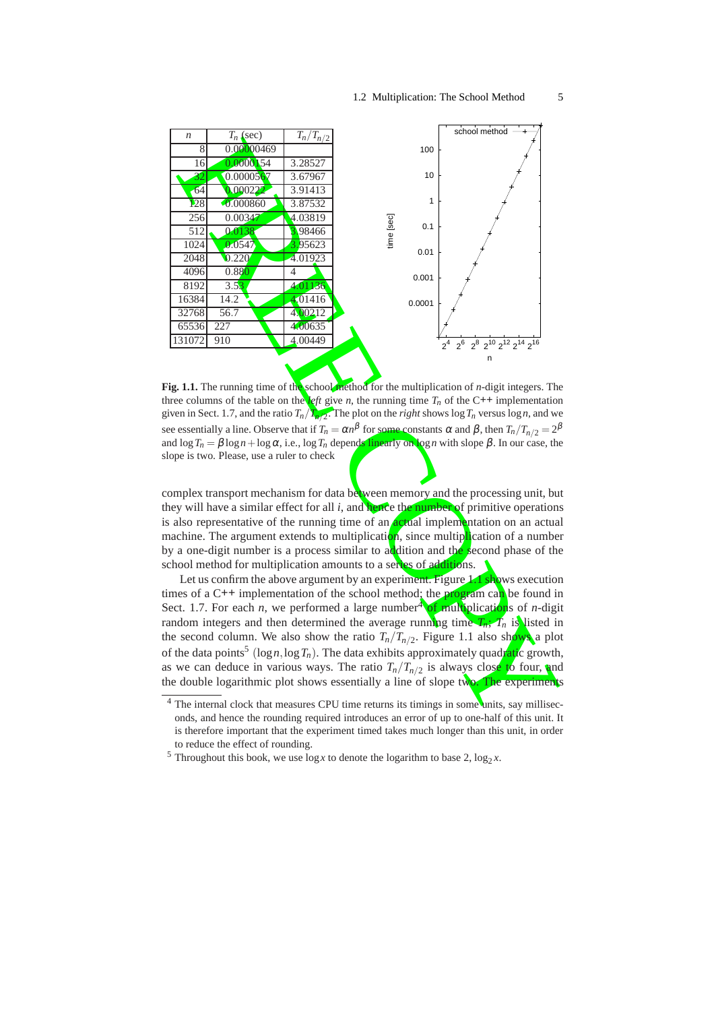

**Fig. 1.1.** The running time of the school method for the multiplication of *n*-digit integers. The three columns of the table on the *left* give *n*, the running time  $T_n$  of the C++ implementation given in Sect. 1.7, and the ratio  $T_n / T_n / 2$ . The plot on the *right* shows  $\log T_n$  versus  $\log n$ , and we see essentially a line. Observe that if  $T_n = \alpha n^{\beta}$  for some constants α and β, then  $T_n/T_{n/2} = 2^{\beta}$ and  $\log T_n = \beta \log n + \log \alpha$ , i.e.,  $\log T_n$  depends linearly on  $\log n$  with slope  $\beta$ . In our case, the slope is two. Please, use a ruler to check

complex transport mechanism for data between memory and the processing unit, but they will have a similar effect for all *i*, and hence the number of primitive operations is also representative of the running time of an actual implementation on an actual machine. The argument extends to multiplication, since multiplication of a number by a one-digit number is a process similar to addition and the second phase of the school method for multiplication amounts to a series of additions.

Let us confirm the above argument by an experiment. Figure  $1.1$  shows execution times of a  $C_{++}$  implementation of the school method; the program can be found in Sect. 1.7. For each *n*, we performed a large number<sup>4</sup> of multiplications of *n*-digit random integers and then determined the average running time  $T_n$ ;  $T_n$  is listed in the second column. We also show the ratio  $T_n/T_{n/2}$ . Figure 1.1 also shows a plot of the data points<sup>5</sup> (logn, log T<sub>n</sub>). The data exhibits approximately quadratic growth, as we can deduce in various ways. The ratio  $T_n/T_{n/2}$  is always close to four, and the double logarithmic plot shows essentially a line of slope two. The experiments

 $\frac{4}{4}$  The internal clock that measures CPU time returns its timings in some units, say milliseconds, and hence the rounding required introduces an error of up to one-half of this unit. It is therefore important that the experiment timed takes much longer than this unit, in order to reduce the effect of rounding.

<sup>&</sup>lt;sup>5</sup> Throughout this book, we use  $\log x$  to denote the logarithm to base 2,  $\log_2 x$ .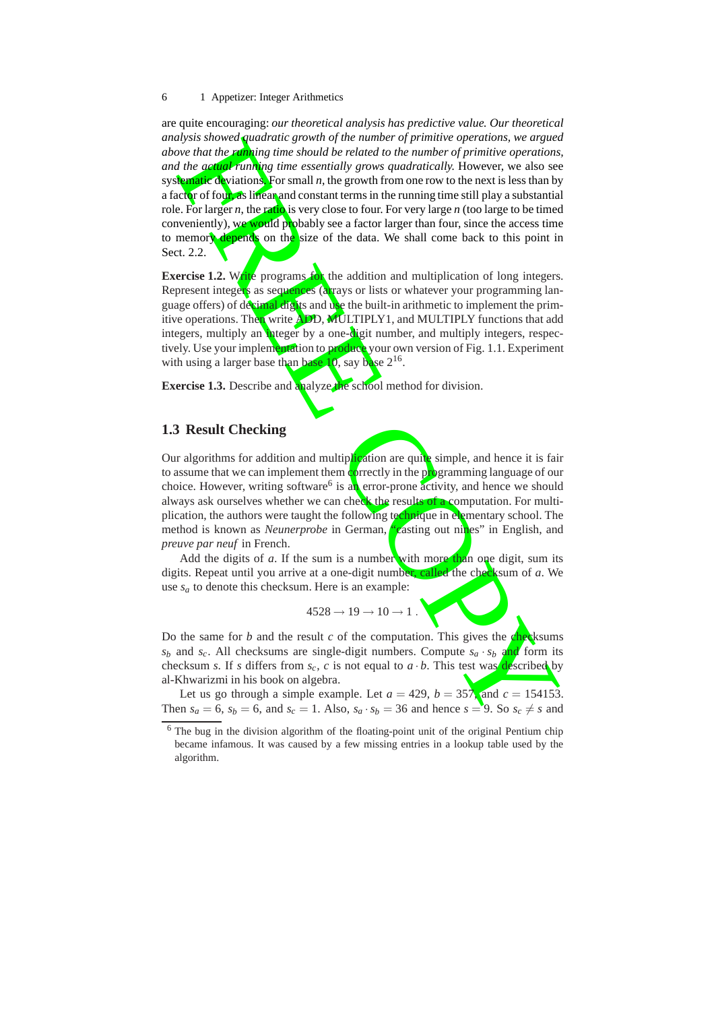aby showed hundring growth of the number of primitive operations, we argue one that the *e* of the number of primitive operations, we also define essentially grow quadratically, However, we also expect the *c* of the are quite encouraging: *our theoretical analysis has predictive value. Our theoretical analysis showed quadratic growth of the number of primitive operations, we argued above that the running time should be related to the number of primitive operations, and the actual running time essentially grows quadratically.* However, we also see systematic deviations. For small *n*, the growth from one row to the next is less than by a factor of four, as linear and constant terms in the running time still play a substantial role. For larger *n*, the ratio is very close to four. For very large *n* (too large to be timed conveniently), we would probably see a factor larger than four, since the access time to memory depends on the size of the data. We shall come back to this point in Sect. 2.2.

**Exercise 1.2.** Write programs for the addition and multiplication of long integers. Represent integers as sequences (arrays or lists or whatever your programming language offers) of decimal digits and use the built-in arithmetic to implement the primitive operations. Then write ADD, MULTIPLY1, and MULTIPLY functions that add integers, multiply an integer by a one-digit number, and multiply integers, respectively. Use your implementation to produce your own version of Fig. 1.1. Experiment with using a larger base than base 10, say base 2<sup>16</sup>.

**Exercise 1.3.** Describe and analyze the school method for division.

#### **1.3 Result Checking**

Our algorithms for addition and multiplication are quite simple, and hence it is fair to assume that we can implement them correctly in the programming language of our choice. However, writing software<sup>6</sup> is an error-prone activity, and hence we should always ask ourselves whether we can check the results of a computation. For multiplication, the authors were taught the following technique in elementary school. The method is known as *Neunerprobe* in German, "casting out nines" in English, and *preuve par neuf* in French.

Add the digits of a. If the sum is a number with more than one digit, sum its digits. Repeat until you arrive at a one-digit number, called the checksum of *a*. We use  $s_a$  to denote this checksum. Here is an example:

$$
4528 \rightarrow 19 \rightarrow 10 \rightarrow 1.
$$

Do the same for *b* and the result *c* of the computation. This gives the **check**sums  $s_b$  and  $s_c$ . All checksums are single-digit numbers. Compute  $s_a \cdot s_b$  and form its checksum *s*. If *s* differs from  $s_c$ , *c* is not equal to  $a \cdot b$ . This test was **described** by al-Khwarizmi in his book on algebra.

Let us go through a simple example. Let  $a = 429$ ,  $b = 357$ , and  $c = 154153$ . Then  $s_a = 6$ ,  $s_b = 6$ , and  $s_c = 1$ . Also,  $s_a \cdot s_b = 36$  and hence  $s = 9$ . So  $s_c \neq s$  and

 $6$  The bug in the division algorithm of the floating-point unit of the original Pentium chip became infamous. It was caused by a few missing entries in a lookup table used by the algorithm.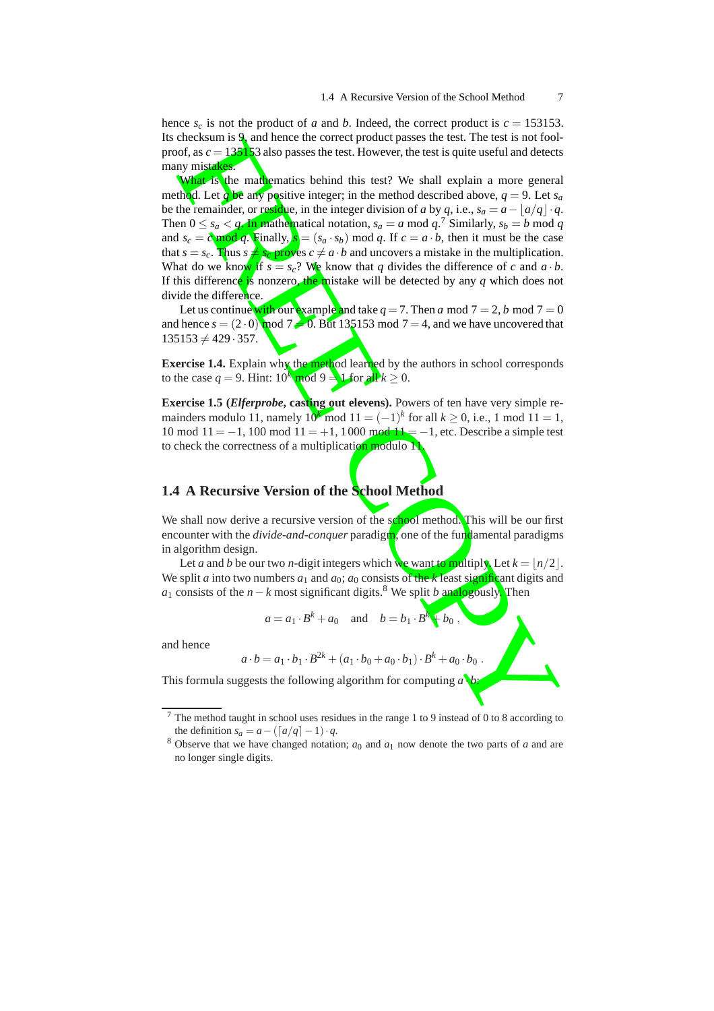hence  $s_c$  is not the product of *a* and *b*. Indeed, the correct product is  $c = 153153$ . Its checksum is 9, and hence the correct product passes the test. The test is not foolproof, as  $c = 135153$  also passes the test. However, the test is quite useful and detects many mistakes.

checksion is 3 and hence the correct product passes the test. The test is not look-<br>orb, as  $c = 136$  Ka also passes the test. However, the test is quite useful and elected<br>when  $\sin \theta$  also passes the test. However, the te What is the mathematics behind this test? We shall explain a more general method. Let q be any positive integer; in the method described above,  $q = 9$ . Let  $s_a$ be the remainder, or residue, in the integer division of *a* by *q*, i.e.,  $s_a = a - \lfloor a/q \rfloor \cdot q$ . Then  $0 \le s_a \le q$ . In mathematical notation,  $s_a = a \mod q$ .<sup>7</sup> Similarly,  $s_b = b \mod q$ and  $s_c = c \mod q$ . Finally,  $s = (s_a \cdot s_b) \mod q$ . If  $c = a \cdot b$ , then it must be the case that  $s = s_c$ . Thus  $s \neq s_c$  proves  $c \neq a \cdot b$  and uncovers a mistake in the multiplication. What do we know if  $s = s_c$ ? We know that q divides the difference of c and  $a \cdot b$ . If this difference is nonzero, the mistake will be detected by any *q* which does not divide the difference.

Let us continue <mark>with</mark> our example <mark>a</mark>nd take  $q=7.$  Then  $a \bmod 7 = 2, b \bmod 7 = 0$ and hence  $s = (2 \cdot 0)$  mod  $7 = 0$ . But 135153 mod  $7 = 4$ , and we have uncovered that  $135153 \neq 429.357$ .

**Exercise 1.4.** Explain why the method learned by the authors in school corresponds to the case  $q = 9$ . Hint:  $10^k \mod 9 = 1$  for all  $k \ge 0$ .

**Exercise 1.5 (***Elferprobe***, casting out elevens).** Powers of ten have very simple remainders modulo 11, namely  $10^k \mod 11 = (-1)^k$  for all  $k \ge 0$ , i.e., 1 mod 11 = 1, 10 mod  $11 = -1$ , 100 mod  $11 = +1$ , 1000 mod  $11 = -1$ , etc. Describe a simple test to check the correctness of a multiplication modulo 11.

#### **1.4 A Recursive Version of the School Method**

We shall now derive a recursive version of the school method. This will be our first encounter with the *divide-and-conquer* paradigm, one of the fundamental paradigms in algorithm design.

Let *a* and *b* be our two *n*-digit integers which we want to multiply. Let  $k = \lfloor n/2 \rfloor$ . We split *a* into two numbers  $a_1$  and  $a_0$ ;  $a_0$  consists of the  $k$  least significant digits and *a*<sup>1</sup> consists of the *n* − *k* most significant digits.<sup>8</sup> We split *b* analogously. Then

$$
a = a_1 \cdot B^k + a_0 \quad \text{and} \quad b = b_1 \cdot B^k + b_0 \,,
$$

and hence

$$
a \cdot b = a_1 \cdot b_1 \cdot B^{2k} + (a_1 \cdot b_0 + a_0 \cdot b_1) \cdot B^k + a_0 \cdot b_0.
$$

*b* :

This formula suggests the following algorithm for computin g *a* ·

<sup>7</sup> The method taught in school uses residues in the range 1 to 9 instead of 0 to 8 according to the definition  $s_a = a - (\lceil a/q \rceil - 1) \cdot q$ .

 $8$  Observe that we have changed notation;  $a_0$  and  $a_1$  now denote the two parts of  $a$  and are no longer single digits.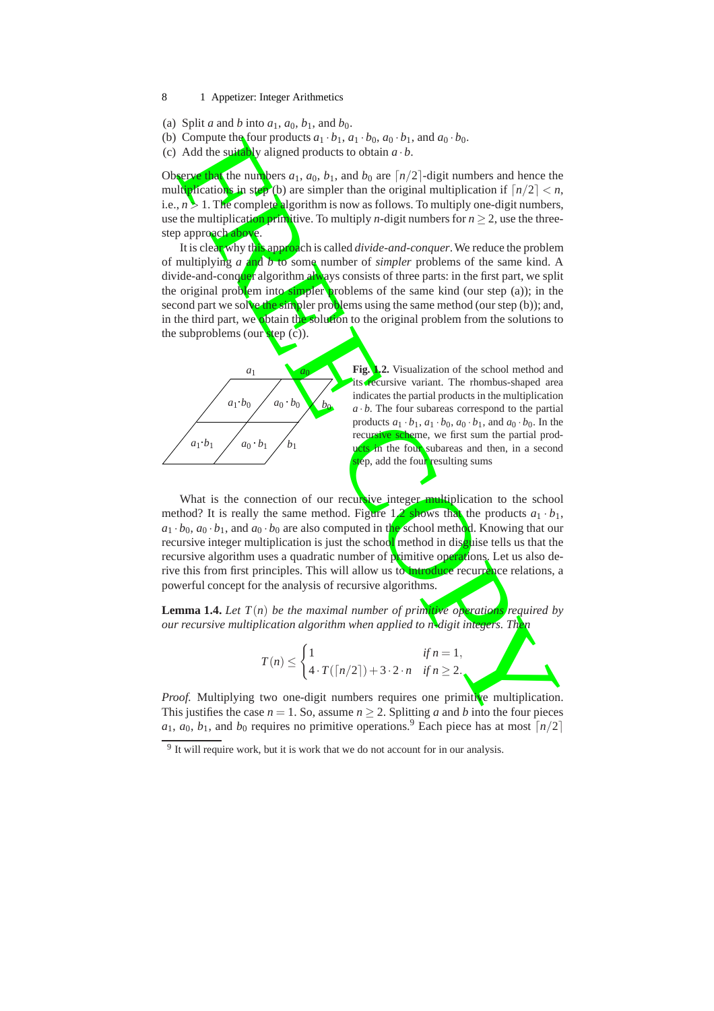- (a) Split *a* and *b* into  $a_1$ ,  $a_0$ ,  $b_1$ , and  $b_0$ .
- (b) Compute the four products  $a_1 \cdot b_1$ ,  $a_1 \cdot b_0$ ,  $a_0 \cdot b_1$ , and  $a_0 \cdot b_0$ .
- (c) Add the suitably aligned products to obtain  $a \cdot b$ .

Observe that the numbers  $a_1$ ,  $a_0$ ,  $b_1$ , and  $b_0$  are  $\lceil n/2 \rceil$ -digit numbers and hence the multiplications in step (b) are simpler than the original multiplication if  $\lceil n/2 \rceil < n$ , i.e., *n* > 1. The complete algorithm is now as follows. To multiply one-digit numbers, use the multiplication primitive. To multiply *n*-digit numbers for  $n \geq 2$ , use the threestep approach above.

Compute this blow repolation of the  $\frac{1}{2}$  b),  $\frac{1}{4}$  b),  $\frac{1}{4}$  compute the structure of the matter of the structure of the structure of the structure of the structure of the structure of the structure of the st It is clear why this approach is called *divide-and-conquer*. We reduce the problem of multiplying *a* and *b* to some number of *simpler* problems of the same kind. A divide-and-conquer algorithm always consists of three parts: in the first part, we split the original problem into simpler problems of the same kind (our step  $(a)$ ); in the second part we solve the simpler problems using the same method (our step (b)); and, in the third part, we obtain the solution to the original problem from the solutions to the subproblems (our step (c)).



**Fig. 1.2.** Visualization of the school method and recursive variant. The rhombus-shaped area indicates the partial products in the multiplication  $a \cdot b$ . The four subareas correspond to the partial products  $a_1 \cdot b_1$ ,  $a_1 \cdot b_0$ ,  $a_0 \cdot b_1$ , and  $a_0 \cdot b_0$ . In the recursive scheme, we first sum the partial prod**uts in** the four subareas and then, in a second ep, add the four resulting sums

What is the connection of our recursive integer multiplication to the school method? It is really the same method. Figure  $1/2$  shows that the products  $a_1 \cdot b_1$ ,  $a_1 \cdot b_0$ ,  $a_0 \cdot b_1$ , and  $a_0 \cdot b_0$  are also computed in the school method. Knowing that our recursive integer multiplication is just the school method in disquise tells us that the recursive algorithm uses a quadratic number of primitive operations. Let us also derive this from first principles. This will allow us to introduce recurrence relations, a powerful concept for the analysis of recursive algorithms.

**Lemma 1.4.** *Let*  $T(n)$  *be the maximal number of primitive operations required by our recursive multiplication algorithm when applied to n-digit integers. Then*

$$
T(n) \leq \begin{cases} 1 & \text{if } n = 1, \\ 4 \cdot T(\lceil n/2 \rceil) + 3 \cdot 2 \cdot n & \text{if } n \geq 2. \end{cases}
$$

*Proof.* Multiplying two one-digit numbers requires one primitive multiplication. This justifies the case  $n = 1$ . So, assume  $n \geq 2$ . Splitting a and b into the four pieces  $a_1, a_0, b_1$ , and  $b_0$  requires no primitive operations.<sup>9</sup> Each piece has at most  $\lceil n/2 \rceil$ 

<sup>&</sup>lt;sup>9</sup> It will require work, but it is work that we do not account for in our analysis.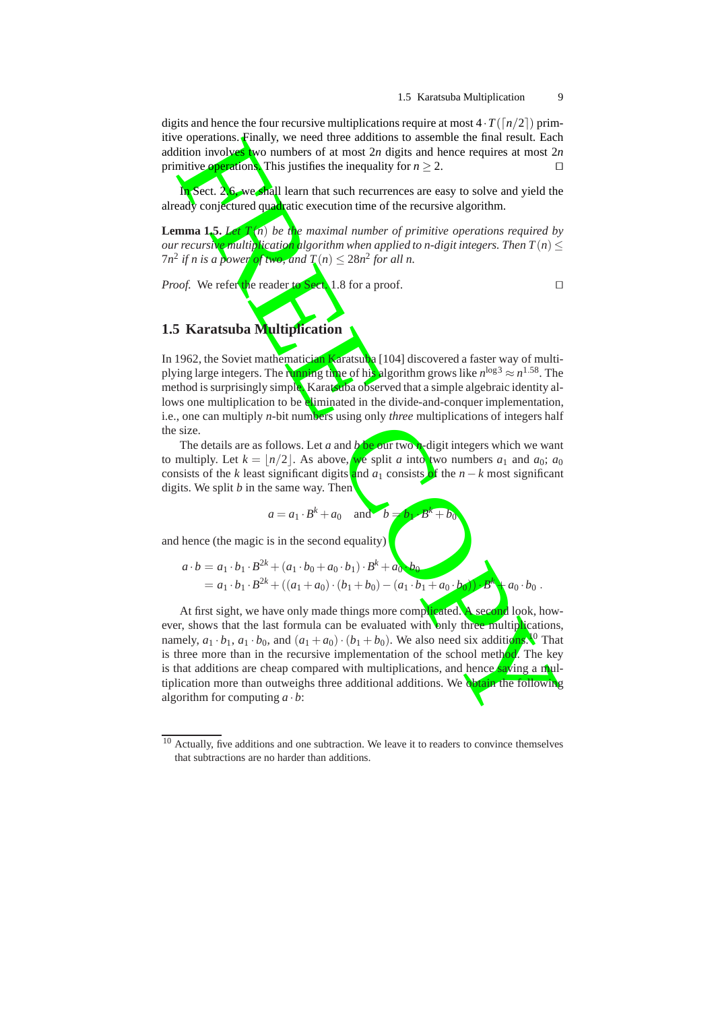digits and hence the four recursive multiplications require at most  $4 \cdot T(\lceil n/2 \rceil)$  primitive operations. Finally, we need three additions to assemble the final result. Each addition involves two numbers of at most 2n digits and hence requires at most 2n primitive operations. This justifies the inequality for *n* ≥ 2.

In Sect. 2.6, we shall learn that such recurrences are easy to solve and yield the already conjectured quadratic execution time of the recursive algorithm.

**Lemma 1.5.** *Let T* ( *n* ) *be the maximal number of primitive operations required by our recursive multiplication algorithm when applied to n-digit integers. Then T* ( *n* ) ≤  $7n^2$  if n is a powe<mark>r of two, a</mark>nd  $T(n) \leq 28n^2$  for all n.

*Proof.* We refer the reader to Sect. 1.8 for a proof. □

## **1.5 Karatsuba Multiplication**

In 1962, the Soviet mathematician Karatsuba [104] discovered a faster way of multiplying large integers. The running time of his algorithm grows like *n*<sup>log3</sup> ≈ *n*<sup>1.58</sup>. The method is surprisingly simple. Karatsuba observed that a simple algebraic identity allows one multiplication to be eliminated in the divide-and-conquer implementation, i.e., one can multiply *n*-bit numbers using only *three* multiplications of integers half the size.

The details are as follows. Let *a* and *b* be our two *n*-digit integers which we want to multiply. Let  $k = \lfloor n/2 \rfloor$ . As above, we split *a* into two numbers  $a_1$  and  $a_0$ ;  $a_0$ consists of the *k* least significant digits and  $a_1$  consists of the  $n - k$  most significant digits. We split *b* in the same way. Then

$$
a = a_1 \cdot B^k + a_0 \quad \text{and} \quad b = b_1 \cdot B^k + b_0
$$

and hence (the magic is in the second equality)

$$
a \cdot b = a_1 \cdot b_1 \cdot B^{2k} + (a_1 \cdot b_0 + a_0 \cdot b_1) \cdot B^k + a_0 \cdot b_0
$$
  
=  $a_1 \cdot b_1 \cdot B^{2k} + ((a_1 + a_0) \cdot (b_1 + b_0) - (a_1 \cdot b_1 + a_0 \cdot b_0)) \cdot B^k + a_0 \cdot b_0$ .

copyrations. That is, the need three delivens is assemble the time are subject to the control of the second properties of the control of the second properties of the second of the second of the second of the second of the At first sight, we have only made things more complicated. A second look, however, shows that the last formula can be evaluated with only three multiplications, namely,  $a_1 \cdot b_1$ ,  $a_1 \cdot b_0$ , and  $(a_1 + a_0) \cdot (b_1 + b_0)$ . We also need six additions.<sup>10</sup> That is three more than in the recursive implementation of the school method. The key is that additions are cheap compared with multiplications, and hence saving a multiplication more than outweighs three additional additions. We obtain the following algorithm for computing  $a \cdot b$ :

 $\frac{10}{10}$  Actually, five additions and one subtraction. We leave it to readers to convince themselves that subtractions are no harder than additions.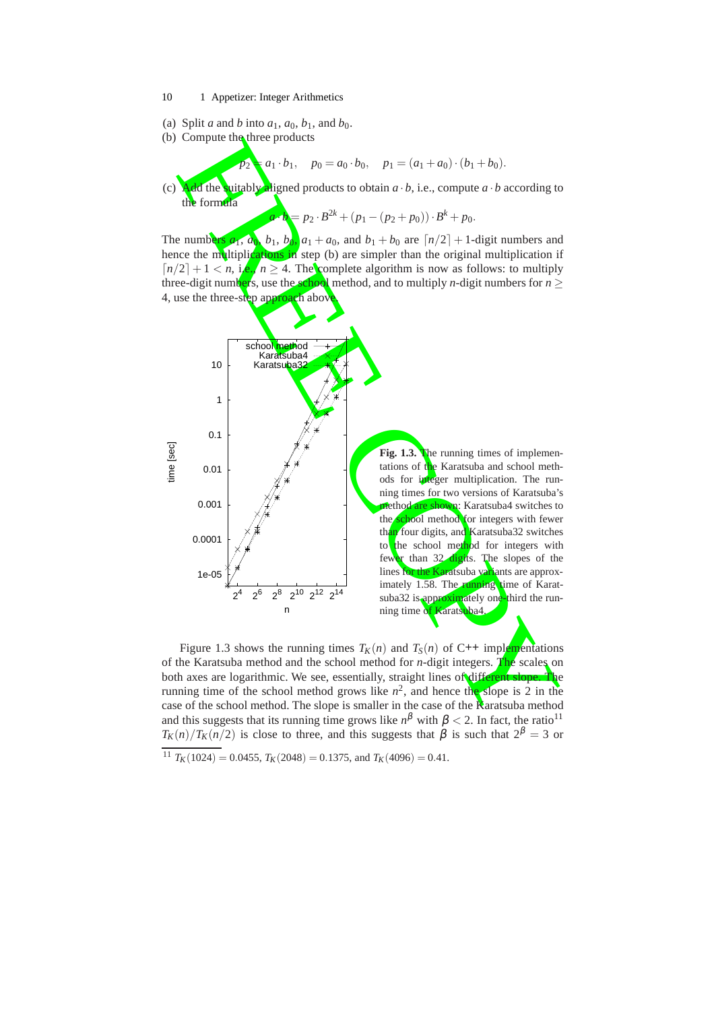- 10 1 Appetizer: Integer Arithmetics
- (a) Split *a* and *b* into  $a_1$ ,  $a_0$ ,  $b_1$ , and  $b_0$ .
- (b) Compute the three products

 $p_2 = a_1 \cdot b_1, \quad p_0 = a_0 \cdot b_0, \quad p_1 = (a_1 + a_0) \cdot (b_1 + b_0).$ 

(c) **Add** the suitably aligned products to obtain  $a \cdot b$ , i.e., compute  $a \cdot b$  according to the formula

 $a \cdot b = p_2 \cdot B^{2k} + (p_1 - (p_2 + p_0)) \cdot B^k + p_0.$ 

The numbers  $a_1$ ,  $a_0$ ,  $b_1$ ,  $b_0$ ,  $a_1 + a_0$ , and  $b_1 + b_0$  are  $\lceil n/2 \rceil + 1$ -digit numbers and hence the multiplications in step (b) are simpler than the original multiplication if  $\lceil n/2 \rceil + 1 < n$ , i.e.,  $n \geq 4$ . The complete algorithm is now as follows: to multiply three-digit numbers, use the school method, and to multiply *n*-digit numbers for *n* ≥ 4, use the three-step approach above



Figure 1.3 shows the running times  $T_K(n)$  and  $T_S(n)$  of C++ implementations of the Karatsuba method and the school method for *n*-digit integers. The scales on both axes are logarithmic. We see, essentially, straight lines of different slope. The running time of the school method grows like  $n^2$ , and hence the slope is 2 in the case of the school method. The slope is smaller in the case of the Karatsuba method and this suggests that its running time grows like  $n^{\beta}$  with  $\beta$  < 2. In fact, the ratio<sup>11</sup>  $T_K(n)/T_K(n/2)$  is close to three, and this suggests that  $\beta$  is such that  $2^{\beta} = 3$  or

<sup>&</sup>lt;sup>11</sup>  $T_K(1024) = 0.0455$ ,  $T_K(2048) = 0.1375$ , and  $T_K(4096) = 0.41$ .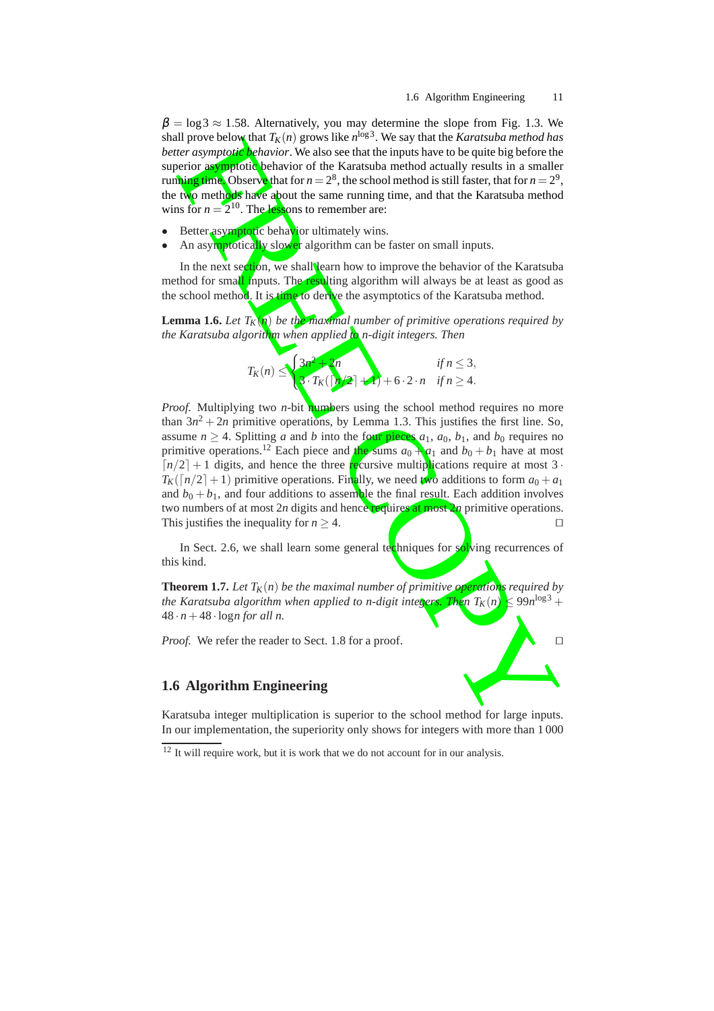$\beta = \log 3 \approx 1.58$ . Alternatively, you may determine the slope from Fig. 1.3. We shall prove below that  $T_K(n)$  grows like  $n^{\log 3}$ . We say that the *Karatsuba method has better asymptotic behavior*. We also see that the inputs have to be quite big before the superior asymptotic behavior of the Karatsuba method actually results in a smaller running time. Observe that for  $n = 2^8$ , the school method is still faster, that for  $n = 2^9$ , the two methods have about the same running time, and that the Karatsuba method wins for  $n = 2^{10}$ . The lessons to remember are:

- Better asymptotic behavior ultimately wins.
- An asymptotically slower algorithm can be faster on small inputs.

In the next section, we shall learn how to improve the behavior of the Karatsuba method for small inputs. The resulting algorithm will always be at least as good as the school method. It is time to derive the asymptotics of the Karatsuba method.

**Lemma 1.6.** *Let T<sup>K</sup>* ( *n* ) *be the maximal number of primitive operations required by the Karatsuba algorithm when applied to n-digit integers. Then*

$$
T_K(n) \leq \begin{cases} 3n^2 + 2n & \text{if } n \leq 3, \\ 3 \cdot T_K(\lceil n/2 \rceil + 1) + 6 \cdot 2 \cdot n & \text{if } n \geq 4. \end{cases}
$$

If prove below that  $Y_n$  in grows like the *Karatsuba method has*<br>
for a symptotic behavior. We also see that the inputs have to be quite big before the<br>
for a symptotic behavior of the Karatsuba method atcully results in *Proof.* Multiplying two *n*-bit **numbers** using the school method requires no more than  $3n^2 + 2n$  primitive operations, by Lemma 1.3. This justifies the first line. So, assume  $n \geq 4$ . Splitting *a* and *b* into the four pieces  $a_1$ ,  $a_0$ ,  $b_1$ , and  $b_0$  requires no primitive operations.<sup>12</sup> Each piece and the sums  $a_0 + a_1$  and  $b_0 + b_1$  have at most  $\lceil n/2 \rceil + 1$  digits, and hence the three **recursive multiplications require at most 3**.  $T_K([n/2]+1)$  primitive operations. Finally, we need two additions to form  $a_0 + a_1$ and  $b_0 + b_1$ , and four additions to assemble the final result. Each addition involves two numbers of at most 2*n* digits and hence requires at most 2*n* primitive operations. This justifies the inequality for *n* ≥ 4. ⊓⊔

In Sect. 2.6, we shall learn some general techniques for solving recurrences of this kind.

**Theorem 1.7.** *Let T<sup>K</sup>* ( *n* ) *be the maximal number of primitive operations required by the Karatsuba algorithm when applied to n-digit integally* ( *n* )  $\leq 99n^{\log 3} +$  $48 \cdot n + 48 \cdot \log n$  for all n.

*Proof.* We refer the reader to Sect. 1.8 for a proof. □

#### **1.6 Algorithm Engineering**

Karatsuba integer multiplication is superior to the school method for large inputs. In our implementation, the superiority only shows for integers with more than 1 000

<sup>&</sup>lt;sup>12</sup> It will require work, but it is work that we do not account for in our analysis.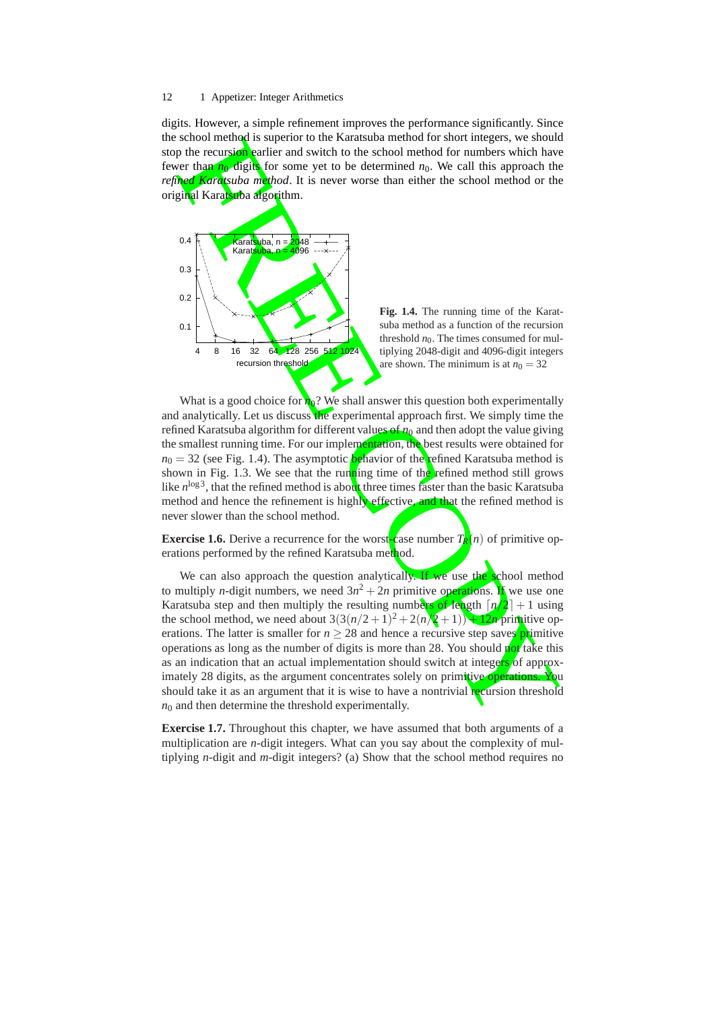digits. However, a simple refinement improves the performance significantly. Since the school method is superior to the Karatsuba method for short integers, we should stop the recursion earlier and switch to the school method for numbers which have fewer than  $n_0$  digits for some yet to be determined  $n_0$ . We call this approach the *refined Karatsuba method*. It is never worse than either the school method or the original Karatsuba algorithm.



**Fig. 1.4.** The running time of the Karatsuba method as a function of the recursion threshold  $n_0$ . The times consumed for multiplying 2048-digit and 4096-digit integers are shown. The minimum is at  $n_0 = 32$ 

What is a good choice for  $n_0$ ? We shall answer this question both experimentally and analytically. Let us discuss the experimental approach first. We simply time the refined Karatsuba algorithm for different values of *n* <sup>0</sup> and then adopt the value giving the smallest running time. For our implementation, the best results were obtained for  $n_0 = 32$  (see Fig. 1.4). The asymptotic **behavior of the refined Karatsuba method is** shown in Fig. 1.3. We see that the running time of the refined method still grows like  $n^{\log 3}$ , that the refined method is about three times faster than the basic Karatsuba method and hence the refinement is highly effective, and that the refined method is never slower than the school method.

**Exercise 1.6.** Derive a recurrence for the worst-case number  $T_R$  $(n)$  of primitive operations performed by the refined Karatsuba method.

s about method is supported to the Karatsban method is necession and the method method in the school method for numbers which have the recursion and switch. It is meer worse than either the school method or the same of th We can also approach the question analytically. If we use the school method to multiply *n*-digit numbers, we need  $3n^2 + 2n$  primitive operations. If we use one Karatsuba step and then multiply the resulting numbers of length  $\lceil n/2 \rceil + 1$  using the school method, we need about  $3(3(n/2+1)^2 + 2(n/2+1)) + 12n$  primitive operations. The latter is smaller for  $n \geq 28$  and hence a recursive step saves primitive operations as long as the number of digits is more than 28. You should not take this as an indication that an actual implementation should switch at integers of approximately 28 digits, as the argument concentrates solely on primitive operations. should take it as an argument that it is wise to have a nontrivial recursion threshold  $n_0$  and then determine the threshold experimentally.

**Exercise 1.7.** Throughout this chapter, we have assumed that both arguments of a multiplication are *n*-digit integers. What can you say about the complexity of multiplying *n*-digit and *m*-digit integers? (a) Show that the school method requires no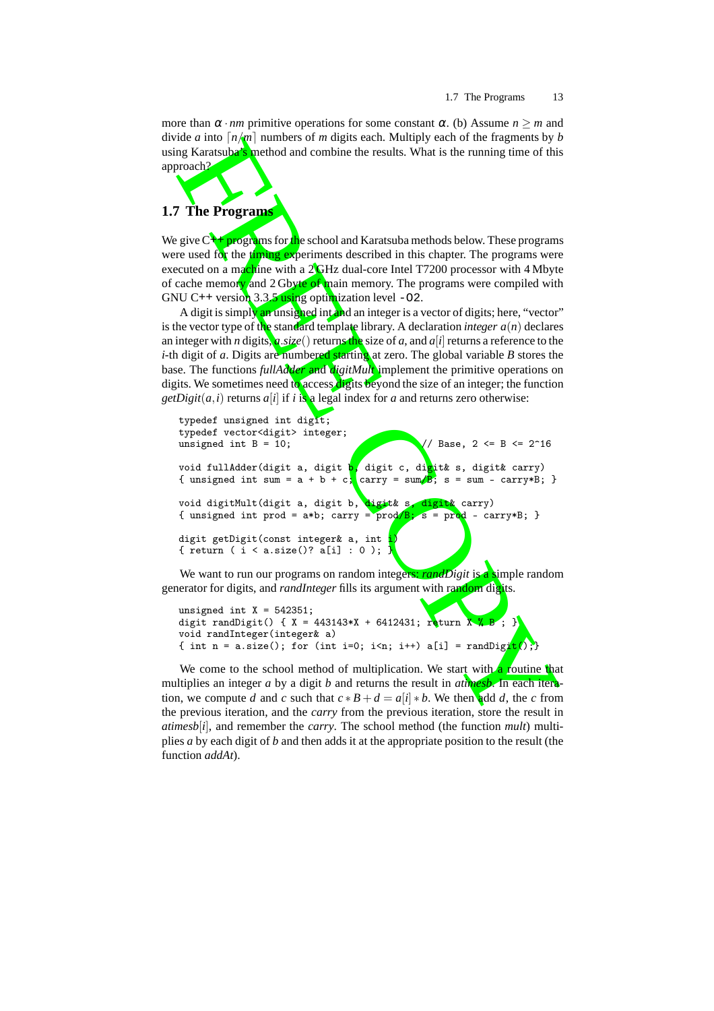more than  $\alpha \cdot nm$  primitive operations for some constant  $\alpha$ . (b) Assume  $n \geq m$  and divide *a* into  $\lceil n/m \rceil$  numbers of *m* digits each. Multiply each of the fragments by *b* using Karatsuba's method and combine the results. What is the running time of this approach?

# **1.7 The Programs**

We give  $C_{+}$ + programs for the school and Karatsuba methods below. These programs were used for the timing experiments described in this chapter. The programs were executed on a machine with a 2 GHz dual-core Intel T7200 processor with 4 Mbyte of cache memory and 2 Gbyte of main memory. The programs were compiled with GNU C++ version 3.3.5 using optimization level -02.

A digit is simply an unsigned int and an integer is a vector of digits; here, "vector" is the vector type of the standard template library. A declaration *integer a* ( *n* ) declares an integer with *n* digits,  $a$  *size*() returns the size of *a*, and *a*[*i*] returns a reference to the *i*-th digit of a. Digits are numbered starting at zero. The global variable *B* stores the base. The functions *fullAdder* and *digitMult* implement the primitive operations on digits. We sometimes need to access digits beyond the size of an integer; the function *getDigit*( $a$ , $i$ ) returns  $a[i]$  if  $i$  is a legal index for  $a$  and returns zero otherwise:

```
The Programm<br>
The Programm<br>
The \pi and the standard combine the results. What is the muning time of this<br>
mg Karatsuba<sup>c</sup> anethod and combine the results. What is the muning time of this<br>
proach)<br>
The Programm<br>
Th
typedef unsigned int digit;
typedef vector<digit> integer;
unsigned int B = 10; \sqrt{7} Base, 2 <= B <= 2^16
void fullAdder(digit a, digit b, digit c, digit& s, digit& carry)
{ unsigned int sum = a + b + c; carry = sum/B; s = sum - carry*B; }
void digitMult(digit a, digit b, digit& s, digit& carry)
{ unsigned int prod = a*b; carry = \text{prod}/B; s = \text{prod} - carry*B; }
digit getDigit(const integer& a, int
{ return ( i < a.size()? a[i] : 0 );
```
We want to run our programs on random integers: *randDigit* is a simple random generator for digits, and *randInteger* fills its argument with random digits.

```
unsigned int X = 542351;
digit randDigit() { X = 443143*X + 6412431; return X % B; }
void randInteger(integer& a)
{ int n = a.size(); for (int i=0; i<n; i++) a[i] = randDigit(); }
```
We come to the school method of multiplication. We start with a routine that multiplies an integer *a* by a digit *b* and returns the result in *atimesb*. In each iteration, we compute *d* and *c* such that  $c * B + d = a[i] * b$ . We then add *d*, the *c* from the previous iteration, and the *carry* from the previous iteration, store the result in *atimesb* [ *i* ], and remember the *carry*. The school method (the function *mult*) multiplies *a* by each digit of *b* and then adds it at the appropriate position to the result (the function *addAt*).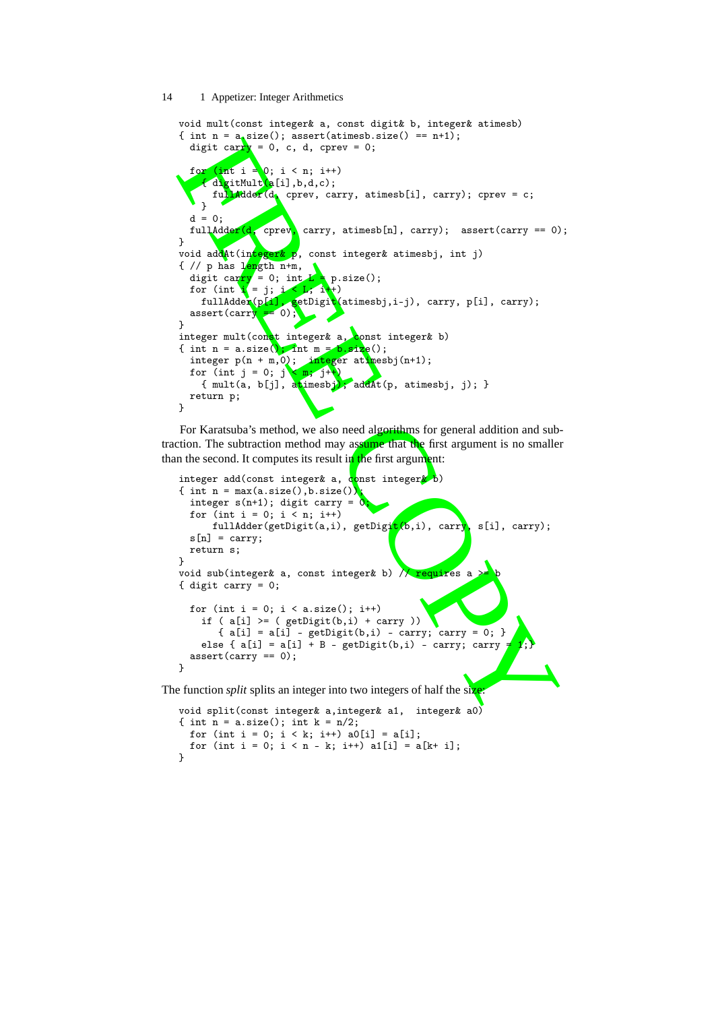```
t and \mathbf{F} = \mathbf{F}_2(\mathbf{x}); assett(athingsorial), and \mathbf{F}_3(\mathbf{x}) = \mathbf{F}_4(\mathbf{x}); \mathbf{F}_5(\mathbf{x}) = \mathbf{F}_5(\mathbf{x}); \mathbf{F}_6(\mathbf{x}) = \mathbf{F}_6(\mathbf{x}); \mathbf{F}_7(\mathbf{x}) = \mathbf{F}_7(\mathbf{x}); \mathbf{F}_8(\mathbf{x}) = \mathbf{F}_7(\mathbf{x}); \mathbf{F}_8(\mathbf{x}) = \mathbf{F}_7void mult(const integer& a, const digit& b, integer& atimesb)
{ int n = a size(); assert(atimesb.size() == n+1);
   digit carry = 0, c, d, cprev = 0;
   for (int i = 0; i < n; i++){ digitMult{a[i],b,d,c)};
        fullAdder(d, cprev, carry, atimesb[i], carry); cprev = c;
      }
   d = 0:
   fullAdder(d, cprev, carry, atimesb[n], carry); assert(carry == 0);
}
void addAt(integer& p, const integer& atimesbj, int j)
\{ // p has length n+m,
   digit carry = 0; int L = p.size();for (int \mathbf{i} = \mathbf{j}; \mathbf{i} < \mathbf{L}; \mathbf{i} + \mathbf{j})
      fullAdder(p[1], getDigit(atimesbj,i-j), carry, p[i], carry);
   assert(carry = 0);
}
integer mult(const integer& a, const integer& b)
{ int n = a.size(); int m = b.size();
   integer p(n + m, 0); integer atimesbj(n+1);
    for (int j = 0; j \langle m; j^{+}\rangle{ mult(a, b[j], atimesbj)<mark>; addAt</mark>(p, atimesbj, j); }
   return p;
}
```
For Karatsuba's method, we also need algorithms for general addition and subtraction. The subtraction method may assume that the first argument is no smaller than the second. It computes its result in the first argument:

```
integer add(const integer& a, const integer& b)
   { int n = max(a.size(), b.size()integer s(n+1); digit carry = 0for (int i = 0; i < n; i^{++})
         fullAdder(getDigit(a,i), getDigit(b,i), carry, s[i], carry);
     s[n] = carry;return s;
   }
   void sub(integer& a, const integer& b) \sqrt{\sqrt{require}}s a
   { digit carry = 0;
     for (int i = 0; i < a.size(); i++)if ( a[i] >= ( getDigit(b, i) + carry ) ){ a[i] = a[i] - getDigit(b,i) - carry; carry = 0; }else { a[i] = a[i] + B - getDigit(b,i) - carry; carryassert(carry == 0);}
The function split splits an integer into two integers of half the size:
   void split(const integer& a,integer& a1, integer& a0)
   { int n = a.size(); int k = n/2;
     for (int i = 0; i < k; i++) a0[i] = a[i];for (int i = 0; i < n - k; i^{++}) a1[i] = a[k+ i];
```
}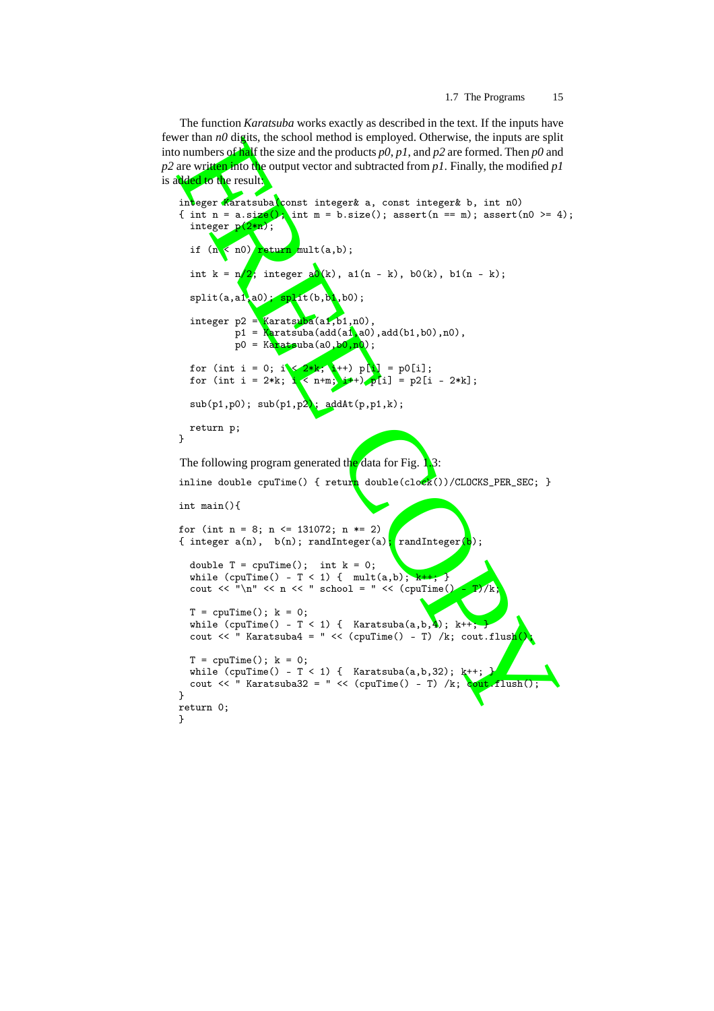The function *Karatsuba* works exactly as described in the text. If the inputs have fewer than  $n\theta$  digits, the school method is employed. Otherwise, the inputs are split into numbers of half the size and the products *p0* , *p1*, and *p2* are formed. Then *p0* and  $p^2$  are written into the output vector and subtracted from  $p^2$ . Finally, the modified  $p^2$ is added to the result:

```
Northam of diagn, the school method is employed. Otherwise, the imput are split \alpha in the size and the products p(0,p1), and p2 are formed. Then p0 and \alpha is the product vector and subtracted from p1. Finally, 
integer Karatsuba(const integer& a, const integer& b, int n0)<br>{ int n = a.size(); \int m = b.size(); assert(n == m); assert(
                        \int m = b.size(); assert(n == m); assert(n0 >= 4);
  integer p(2*n);
   if (n < n0) return mult(a, b);
  int k = \frac{n}{2}; integer \frac{a\delta(k)}{k}, a1(n - k), b0(k), b1(n - k);
  split(a, a1, a0); split(b, b1, b0);integer p2 =Karatsuba(a1,b1,n0),
            p1 =Karatsuba(add(a1,a0),add(b1,b0),n0),
            p0 =Karatsuba(a0,b0,n0);
  for (int i = 0; i < 2*k; i ++) p[i] = p0[i];
  for (int i = 2*k; i < n+m; i^{++}) p[i] = p2[i - 2*k];
  sub(p1,p0); sub(p1,p2); addAt(p,p1,k);
  return p;
}
The following program generated the data for Fig. 1.3:
inline double cpuTime() { return double(cl_0ck())/CLOCKS_PER_SEC; }
int main(){
for (int n = 8; n <= 131072; n *= 2)
{ integer a(n), b(n); randInteger(a); randInteger
  double T = \text{cpuTime}(); int k = 0;
  while (cpuTime() - T < 1) { mult(a,b); k++; }
  cout << "\n" << n << " school = " << (cpuTime() - T)/k;
  T = \text{cpuTime}(); k = 0;
  while (cpuTime() - T < 1) { Karatsuba(a,b,4); k++; }
  cout << " Karatsuba4 = " << (cpuTime() - T) /k; cout.flush()
  T = \text{cpuTime}(); k = 0;
  while (cpuTime() - T < 1) { Karatsuba(a,b,32); k++;
  cout \ll " Karatsuba32 = " \ll (cpuTime() - T) /k; cout flush();
}
return 0; }
```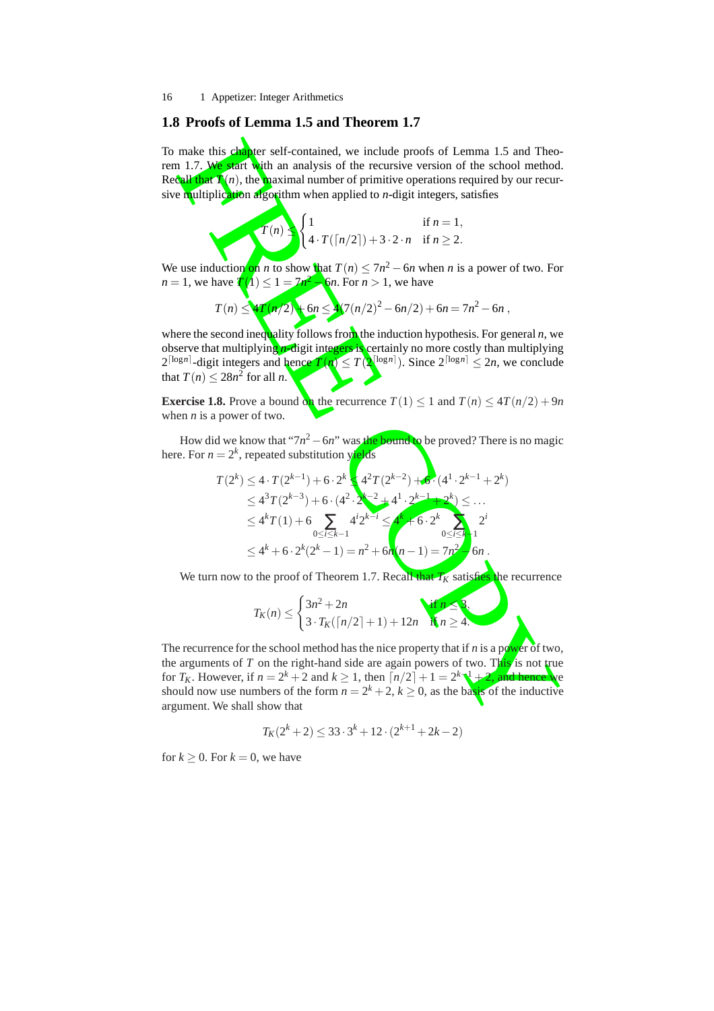### **1.8 Proofs of Lemma 1.5 and Theorem 1.7**

To make this chapter self-contained, we include proofs of Lemma 1.5 and Theorem 1.7. We start with an analysis of the recursive version of the school method. Recall that  $T(n)$ , the maximal number of primitive operations required by our recursive multiplication algorithm when applied to *n*-digit integers, satisfies

$$
T(n) \leq \begin{cases} 1 & \text{if } n = 1, \\ 4 \cdot T(\lceil n/2 \rceil) + 3 \cdot 2 \cdot n & \text{if } n \geq 2. \end{cases}
$$

We use induction on *n* to show that  $T(n) \leq 7n^2 - 6n$  when *n* is a power of two. For *n* = 1, we have  $T(1) \le 1 = 7n^2$  $6n$ . For  $n > 1$ , we have

$$
T(n) \leq 4T(n/2) + 6n \leq 4(7(n/2)^2 - 6n/2) + 6n = 7n^2 - 6n,
$$

where the second inequality follows from the induction hypothesis. For general *n*, we observe that multiplyin<mark>g *n*-di</mark>git integers is certainly no more costly than multiplying  $2^{\lceil \log n \rceil}$ -digit integers and hence  $T(n) \leq T(\mathbf{X}^{\lfloor \log n \rfloor})$ . Since  $2^{\lceil \log n \rceil} \leq 2n$ , we conclude that  $T(n) \leq 28n^2$  for all *n*.

**Exercise 1.8.** Prove a bound on the recurrence  $T(1) \leq 1$  and  $T(n) \leq 4T(n/2) + 9n$ when *n* is a power of two.

How did we know that "7n<sup>2</sup> – 6n" was the bound to be proved? There is no magic here. For  $n = 2^k$ , repeated substitution yields

make this **chapter** self-contained, we include proofs of Lemma 1.5 and Theo-  
\nn 1.7. We start with an analysis of the recursive version of the school method  
\ncall that 
$$
T(n)
$$
, the maximal number of primitive operations required by our recur-  
\nequultiplication algorithm when applied to *n*-digit integers, satisfies  
\n
$$
T(n)
$$
\n
$$
\begin{cases}\n1 & \text{if } n = 1, \\
4 \cdot T(n/2)) + 3 \cdot 2 \cdot n & \text{if } n \geq 2.\n\end{cases}
$$
\nuse induction on *n* to show that  $T(n) \leq 7n^2 - 6n$  when *n* is a power of two. For  
\n
$$
T(n) \leq T(n/2)
$$
\n
$$
\begin{cases}\n1 & \text{if } n = 1, \\
4 \cdot T(n/2)) + 3 \cdot 2 \cdot n & \text{if } n \geq 2.\n\end{cases}
$$
\nuse induction on *n* to show that  $T(n) \leq 7n^2 - 6n$  when *n* is a power of two. For  
\n
$$
T(n) \leq \frac{1}{2}T(n+2)
$$
\n
$$
\begin{cases}\n6n \leq \frac{1}{2}(7(n/2)^2 - 6n/2) + 6n = 7n^2 - 6n, \\
4 \cdot T(n) \leq 28n^2 \text{ for all } n.\n\end{cases}
$$
\nseare the second inequality follows from the induction hypothesis. For general *n*, we  
\nserved that multiplying *n*-digit integers and hence  $T(n) \leq T(n/2) + 6n = 7n^2 - 6n$ ,  
\nwhere the second inequality follows from the induction hypothesis. For general *n*, we  
\nslope  
\n
$$
\begin{cases}\nT(n) \leq 28n^2 \text{ for all } n.\n\end{cases}
$$
\n
$$
\begin{cases}\nT(n/2)^2 - 6n/2 + 6n = 7n^2 - 6n, \\
T(n) \leq 2n^2 \text{ for all } n.\n\end{cases}
$$
\nHence, For  $n = 2^k$ , repeated substitution yields  
\n
$$
T(2^k) \leq 4 \cdot T(2^{k-1}) + 6 \cdot 2^k
$$
\n
$$
\begin{cases}\n4^2 T(2^{k-2}) + 4^k \cdot (4^k \cdot 2^{k
$$

We turn now to the proof of Theorem 1.7. Recall that *T<sup>K</sup>* satisfies the recurrence

$$
T_K(n) \leq \begin{cases} 3n^2 + 2n \\ 3 \cdot T_K(\lceil n/2 \rceil + 1) + 12n \quad \text{if } n \geq 4. \end{cases}
$$

The recurrence for the school method has the nice property that if *n* is a power of two, the arguments of T on the right-hand side are again powers of two. This is not true for  $T_K$ . However, if  $n = 2^k + 2$  and  $k \ge 1$ , then  $\lceil n/2 \rceil + 1 = 2^k \sqrt{1 + 2}$ , and hence we should now use numbers of the form  $n = 2^k + 2$ ,  $k \ge 0$ , as the basis of the inductive argument. We shall show that

$$
T_K(2^k+2) \le 33 \cdot 3^k + 12 \cdot (2^{k+1} + 2k - 2)
$$

for  $k \geq 0$ . For  $k = 0$ , we have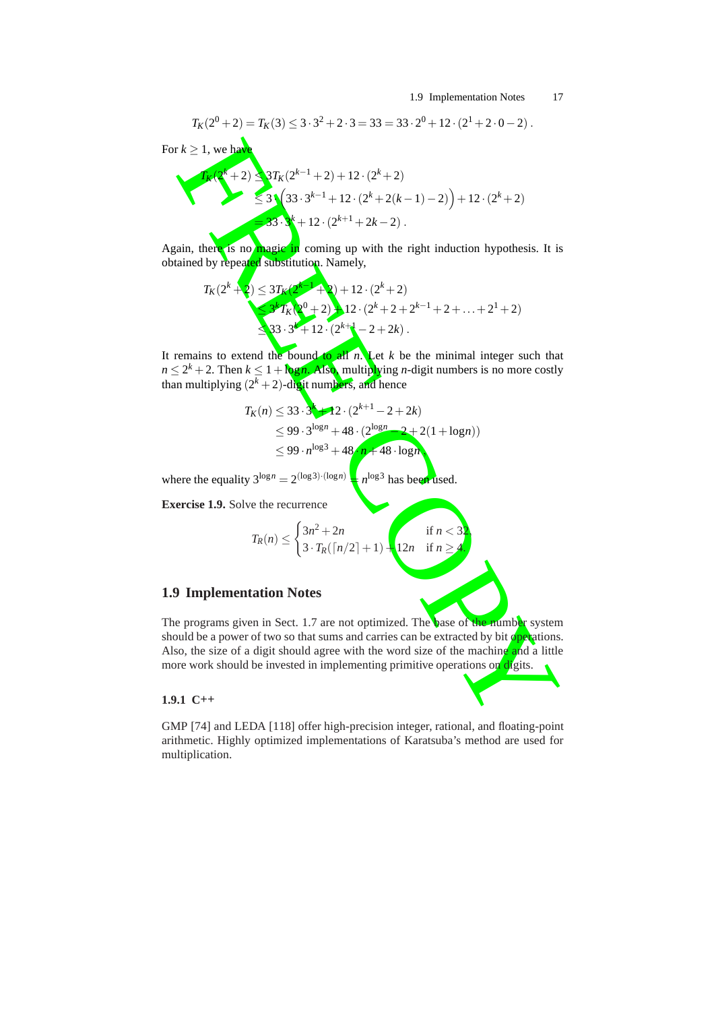1.9 Implementation Notes 17

,

$$
T_K(2^0+2) = T_K(3) \le 3 \cdot 3^2 + 2 \cdot 3 = 33 = 33 \cdot 2^0 + 12 \cdot (2^1 + 2 \cdot 0 - 2).
$$

For  $k \geq 1$ , we have

FREE COPY *TK*(2*<sup>k</sup>* +2) ≤ 3 *TK* ( 2 *k* − 1 + 2)+12 · ( 2 *k* + 2 ) ≤ 3 · 33 · 3 *k* − 1 +12 · ( 2 *k* + 2 ( *k* − 1 ) − 2 ) +12 · ( 2 *k* + 2 ) = 33 · 3 *k* +12 · ( 2 *k* + 1 + 2 *k* − 2 ) .

Again, there is no magic in coming up with the right induction hypothesis. It is obtained by repeated substitution. Namely,

$$
T_K(2^k + 2) \le 3T_K(2^k - 1 + 2) + 12 \cdot (2^k + 2)
$$
  
\n
$$
\le 3^k T_K(2^0 + 2) + 12 \cdot (2^k + 2 + 2^{k-1} + 2 + \dots + 2^1 + 2)
$$
  
\n
$$
\le 3^3 \cdot 3^k + 12 \cdot (2^{k+1} - 2 + 2k).
$$

It remains to extend the bound to all *n*. Let *k* be the minimal integer such that  $n \leq 2^k + 2$ . Then  $k \leq 1 + \log n$ . Also, multiplying *n*-digit numbers is no more costly than multiplying (2<sup>k</sup> + 2)-digit numbers, and hence

$$
T_K(n) \le 33 \cdot 3^{k} + 12 \cdot (2^{k+1} - 2 + 2k)
$$
  
\n
$$
\le 99 \cdot 3^{\log n} + 48 \cdot (2^{\log n} - 2 + 2(1 + \log n))
$$
  
\n
$$
\le 99 \cdot n^{\log 3} + 48 \cdot n + 48 \cdot \log n
$$

where the equality  $3^{\log n} = 2^{(\log 3) \cdot (\log n)}$  $= n^{\log 3}$  has been used.

**Exercise 1.9.** Solve the recurrence

$$
T_R(n) \le \begin{cases} 3n^2 + 2n & \text{if } n < 32 \\ 3 \cdot T_R(\lceil n/2 \rceil + 1) + 12n & \text{if } n \ge 4. \end{cases}
$$

#### **1.9 Implementation Notes**

The programs given in Sect. 1.7 are not optimized. The base of the number system should be a power of two so that sums and carries can be extracted by bit operations. Also, the size of a digit should agree with the word size of the machine and a little more work should be invested in implementing primitive operations on  $\frac{d}{dx}$  its.

#### **1.9.1 C**++

GMP [74] and LEDA [118] offer high-precision integer, rational, and floating-point arithmetic. Highly optimized implementations of Karatsuba's method are used for multiplication.